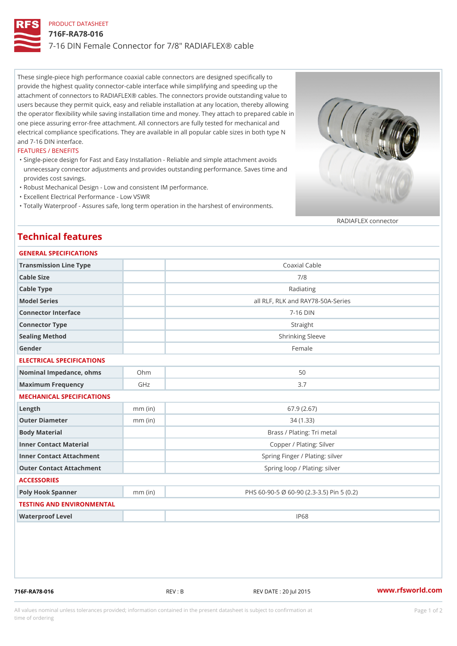# PRODUCT DATASHEET 716F-RA78-016 7-16 DIN Female Connector for 7/8" RADIAFLEX® cable

These single-piece high performance coaxial cable connectors are designed specifically to provide the highest quality connector-cable interface while simplifying and speeding up the attachment of connectors to RADIAFLEX® cables. The connectors provide outstanding value to users because they permit quick, easy and reliable installation at any location, thereby allowing the operator flexibility while saving installation time and money. They attach to prepared cable in one piece assuring error-free attachment. All connectors are fully tested for mechanical and electrical compliance specifications. They are available in all popular cable sizes in both type N and 7-16 DIN interface.

### FEATURES / BENEFITS

- Single-piece design for Fast and Easy Installation Reliable and simple attachment avoids " unnecessary connector adjustments and provides outstanding performance. Saves time and provides cost savings.
- "Robust Mechanical Design Low and consistent IM performance.
- "Excellent Electrical Performance Low VSWR
- "Totally Waterproof Assures safe, long term operation in the harshest of environments.

#### RADIAFLEX connector

## Technical features

| GENERAL SPECIFICATIONS       |           |                                           |
|------------------------------|-----------|-------------------------------------------|
| Transmission Line Type       |           | Coaxial Cable                             |
| Cable Size                   |           | 7/8                                       |
| Cable Type                   |           | Radiating                                 |
| Model Series                 |           | all RLF, RLK and RAY78-50A-Series         |
| Connector Interface          |           | $7 - 16$ DIN                              |
| Connector Type               |           | Straight                                  |
| Sealing Method               |           | Shrinking Sleeve                          |
| Gender                       |           | Female                                    |
| ELECTRICAL SPECIFICATIONS    |           |                                           |
| Nominal Impedance, ohins Ohm |           | 50                                        |
| Maximum Frequency            | GHz       | 3.7                                       |
| MECHANICAL SPECIFICATIONS    |           |                                           |
| $L$ ength                    | $mm$ (in) | 67.9(2.67)                                |
| Outer Diameter               | $mm$ (in) | 34(1.33)                                  |
| Body Material                |           | Brass / Plating: Tri metal                |
| Inner Contact Material       |           | Copper / Plating: Silver                  |
| Inner Contact Attachment     |           | Spring Finger / Plating: silver           |
| Outer Contact Attachment     |           | Spring loop / Plating: silver             |
| <b>ACCESSORIES</b>           |           |                                           |
| Poly Hook Spanner            | $mm$ (in) | PHS 60-90-5 Ø 60-90 (2.3-3.5) Pin 5 (0.2) |
| TESTING AND ENVIRONMENTAL    |           |                                           |
| Waterproof Level             |           | IP68                                      |
|                              |           |                                           |

716F-RA78-016 REV : B REV DATE : 20 Jul 2015 [www.](https://www.rfsworld.com)rfsworld.com